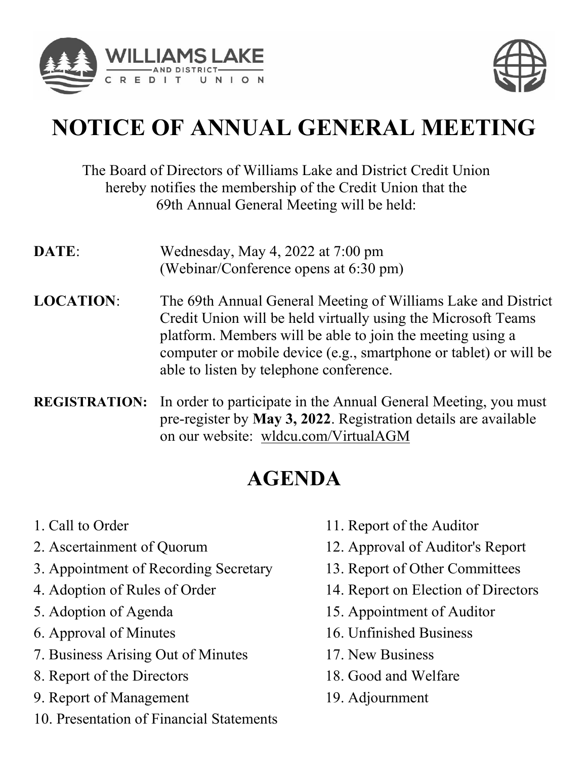



# **NOTICE OF ANNUAL GENERAL MEETING NOTICE OF ANNUAL GENERAL MEETING NOTICE OF ANNUAL GENERAL MEETING NOTICE OF ANNUAL GENERAL MEETING**

#### The Board of Directors of Williams Lake and District Credit Union The Board of Directors of Williams Lake and District Credit Union hereby notifies the membership of the Credit Union that the 69th Annual General Meeting will be held: The Board of Directors of Williams Lake and District Credit Union hereby nothies the membership of the Credit Union that the 69th Annual General Meeting will be held: hereby notifies the membership of the Credit Union that the 69th Annual General Meeting will be held:  $T_{\text{S}}$  of  $\Lambda_{\text{max}}$  of  $\Lambda_{\text{max}}$  and  $\Lambda_{\text{max}}$  and  $\Lambda_{\text{max}}$  and  $\Lambda_{\text{max}}$  and  $\Lambda_{\text{max}}$  and  $\Lambda_{\text{max}}$  and  $\Lambda_{\text{max}}$  and  $\Lambda_{\text{max}}$  and  $\Lambda_{\text{max}}$  and  $\Lambda_{\text{max}}$  and  $\Lambda_{\text{max}}$  and  $\Lambda_{\text{max}}$  and  $\Lambda_{\text{max}}$  and by in Almuar General Meeting will be field.

- **DATE**: Wednesday, May 4, 2022 at 7:00 pm **DATE**: Wednesday, May 4, 2022 at 7:00 pm (Webinar/Conference opens at 6:30 pm) DATE: wednesday, May 4, 2022 at 7:00 pm (Webinar/Conference opens at 6:30 pm) (Webinar/Conference opens at 6:30 pm)  $\mathbf w$  comal/Contenct opens at  $0.50$  pm
- **LOCATION:** The 69th Annual General Meeting of Williams Lake and District Credit Union will be held virtually using the Microsoft Teams platform. Members will be able to join the meeting using a computer or mobile device (e.g., smartphone or tablet) or will be able to listen by telephone conference. **LOCATION**: The 69th Annual General Meeting of Williams Lake and District Credit Union will be held virtually using the Microsoft Teams Credit Union will be held virtually using the Microsoft Teams platform. Members will be able to join the meeting using a platform. Members will be able to join the meeting using a computer or mobile device (e.g., smartphone or tablet) or will be able to listen by telephone conference. computer or mobile device (e.g., smartphone or tablet) or will be able to listen by telephone conference. LOCATION: WHERE THE 69th Annually using the Microsoft Feaths platform. Memoers will be able to join the meeting using a computer or moone device  $(e.g., sha)$  phone or table? Or w able to itsich by telephone conference.
- **REGISTRATION:** In order to participate in the Annual General Meeting, you must pre-register by **May 3, 2022**. Registration details are available on our website: wldcu.com/VirtualAGM **REGISTRATION:** In order to participate in the Annual General Meeting, you must<br>pre-register by **May 3, 2022**. Registration details are available pre-register by **May 3, 2022**. Registration details are available on our website: <u>wideu.com</u>/Virtual/YOM on our website: wldcu.com/VirtualAGM pre-register by **May 5, 2022**. Registration details are available pre-vergister by **Max 3, 2022.** Registration details are available to the available and the contract of the available to the contract of the contract of the contract of the contract of the contract of the contract of the c

# **AGENDA AGENDA AGENDA**

- 1. Call to Order 1. Call to Order 1. Call to Order
- 2. Ascertainment of Quorum  $2.1$  Ascertamment of Quorum 2. Ascertainment of Quorum
- 3. Appointment of Recording Secretary 3. Appointment of Recording Secretary 3. Appointment of Recording Secretary
- 4. Adoption of Rules of Order  $\frac{4.4 \text{ m}}{2.44 \text{ m}^2}$ 4. Adoption of Rules of Order
- 5. Adoption of Agenda 5. Adoption of Agenda
- 6. Approval of Minutes  $\frac{5.1 \text{m} \cdot \text{m}}{2}$  $\sigma$ . Approval of Minutes 6. Approval of Minutes
- 7. Business Arising Out of Minutes 7. Business Arising Out of Minutes 7. Business Arising Out of Minutes
- 8. Report of the Directors 8. Report of the Directors
- 9. Report of Management 9. Report of Management
- 10. Presentation of Financial Statements 9. Report of Management 10. Presentation of Financial Statements 10. Presentation of Financial Statements
- 11. Report of the Auditor 11. Report of the Auditor
- 12. Approval of Auditor's Report 11. Report of the Auditor 12. Approval of Auditor's Report 12. Approval of Auditor's Report
- 13. Report of Other Committees 13. Report of Other Committees 13. Report of Other Committees
- 14. Report on Election of Directors 11. Report on Election of Directors 14. Report on Election of Directors
- 15. Appointment of Auditor  $15.$  Appointment of Auditor
- 16. Unfinished Business 16. Unfinished Business 16. Unfinished Business
- 17. New Business  $17.1$  New Business 17. New Business
- 18. Good and Welfare 10. Good and Welfare 18. Good and Welfare
- 19. Adjournment 19. Adjournment 19. Adjournment